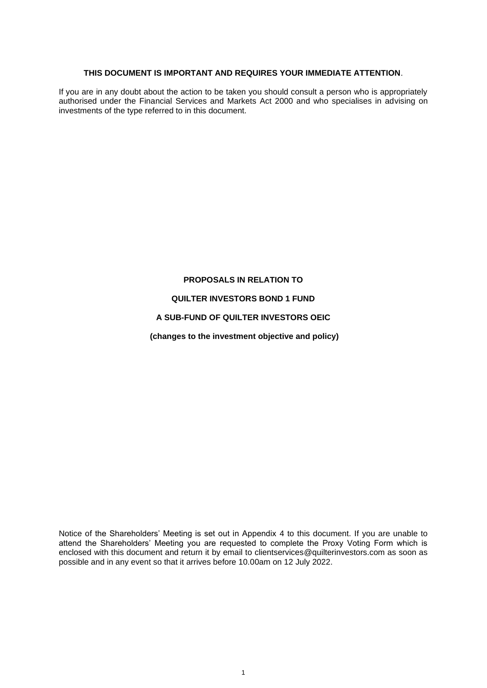## **THIS DOCUMENT IS IMPORTANT AND REQUIRES YOUR IMMEDIATE ATTENTION**.

If you are in any doubt about the action to be taken you should consult a person who is appropriately authorised under the Financial Services and Markets Act 2000 and who specialises in advising on investments of the type referred to in this document.

# **PROPOSALS IN RELATION TO**

## **QUILTER INVESTORS BOND 1 FUND**

# **A SUB-FUND OF QUILTER INVESTORS OEIC**

**(changes to the investment objective and policy)**

Notice of the Shareholders' Meeting is set out in Appendix 4 to this document. If you are unable to attend the Shareholders' Meeting you are requested to complete the Proxy Voting Form which is enclosed with this document and return it by email to clientservices@quilterinvestors.com as soon as possible and in any event so that it arrives before 10.00am on 12 July 2022.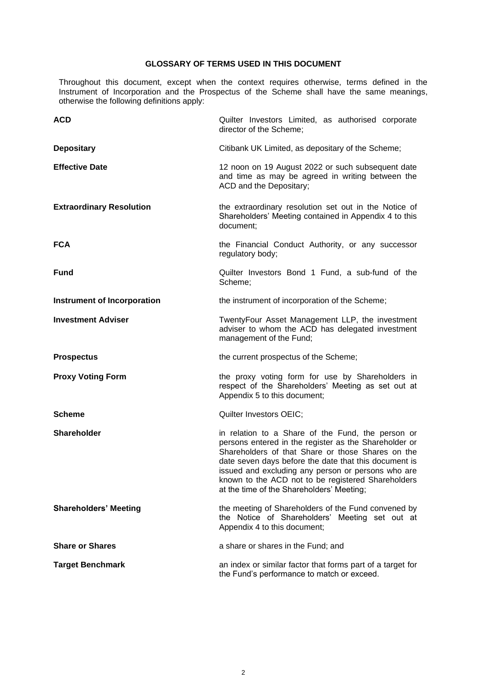# **GLOSSARY OF TERMS USED IN THIS DOCUMENT**

Throughout this document, except when the context requires otherwise, terms defined in the Instrument of Incorporation and the Prospectus of the Scheme shall have the same meanings, otherwise the following definitions apply:

| <b>ACD</b>                         | Quilter Investors Limited, as authorised corporate<br>director of the Scheme;                                                                                                                                                                                                                                                                                                     |
|------------------------------------|-----------------------------------------------------------------------------------------------------------------------------------------------------------------------------------------------------------------------------------------------------------------------------------------------------------------------------------------------------------------------------------|
| <b>Depositary</b>                  | Citibank UK Limited, as depositary of the Scheme;                                                                                                                                                                                                                                                                                                                                 |
| <b>Effective Date</b>              | 12 noon on 19 August 2022 or such subsequent date<br>and time as may be agreed in writing between the<br>ACD and the Depositary;                                                                                                                                                                                                                                                  |
| <b>Extraordinary Resolution</b>    | the extraordinary resolution set out in the Notice of<br>Shareholders' Meeting contained in Appendix 4 to this<br>document:                                                                                                                                                                                                                                                       |
| <b>FCA</b>                         | the Financial Conduct Authority, or any successor<br>regulatory body;                                                                                                                                                                                                                                                                                                             |
| <b>Fund</b>                        | Quilter Investors Bond 1 Fund, a sub-fund of the<br>Scheme;                                                                                                                                                                                                                                                                                                                       |
| <b>Instrument of Incorporation</b> | the instrument of incorporation of the Scheme;                                                                                                                                                                                                                                                                                                                                    |
| <b>Investment Adviser</b>          | TwentyFour Asset Management LLP, the investment<br>adviser to whom the ACD has delegated investment<br>management of the Fund;                                                                                                                                                                                                                                                    |
| <b>Prospectus</b>                  | the current prospectus of the Scheme;                                                                                                                                                                                                                                                                                                                                             |
| <b>Proxy Voting Form</b>           | the proxy voting form for use by Shareholders in<br>respect of the Shareholders' Meeting as set out at<br>Appendix 5 to this document;                                                                                                                                                                                                                                            |
| <b>Scheme</b>                      | Quilter Investors OEIC;                                                                                                                                                                                                                                                                                                                                                           |
| <b>Shareholder</b>                 | in relation to a Share of the Fund, the person or<br>persons entered in the register as the Shareholder or<br>Shareholders of that Share or those Shares on the<br>date seven days before the date that this document is<br>issued and excluding any person or persons who are<br>known to the ACD not to be registered Shareholders<br>at the time of the Shareholders' Meeting; |
| <b>Shareholders' Meeting</b>       | the meeting of Shareholders of the Fund convened by<br>the Notice of Shareholders' Meeting set out at<br>Appendix 4 to this document;                                                                                                                                                                                                                                             |
| <b>Share or Shares</b>             | a share or shares in the Fund; and                                                                                                                                                                                                                                                                                                                                                |
|                                    |                                                                                                                                                                                                                                                                                                                                                                                   |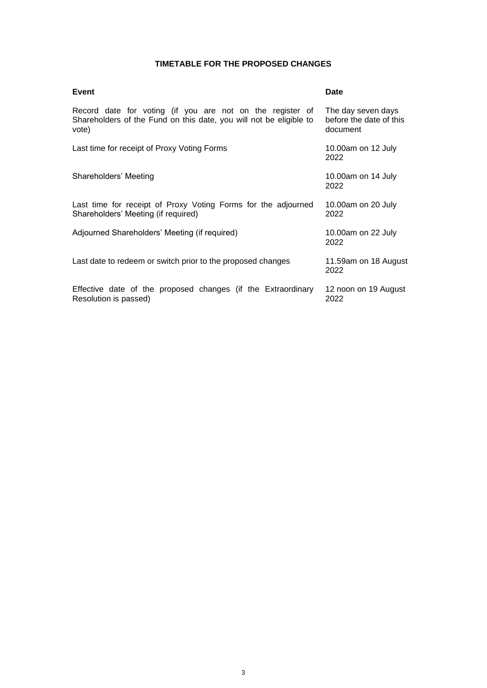# **TIMETABLE FOR THE PROPOSED CHANGES**

| Event                                                                                                                                    | <b>Date</b>                                               |
|------------------------------------------------------------------------------------------------------------------------------------------|-----------------------------------------------------------|
| Record date for voting (if you are not on the register of<br>Shareholders of the Fund on this date, you will not be eligible to<br>vote) | The day seven days<br>before the date of this<br>document |
| Last time for receipt of Proxy Voting Forms                                                                                              | 10.00am on 12 July<br>2022                                |
| Shareholders' Meeting                                                                                                                    | 10.00am on 14 July<br>2022                                |
| Last time for receipt of Proxy Voting Forms for the adjourned<br>Shareholders' Meeting (if required)                                     | 10.00am on 20 July<br>2022                                |
| Adjourned Shareholders' Meeting (if required)                                                                                            | 10.00am on 22 July<br>2022                                |
| Last date to redeem or switch prior to the proposed changes                                                                              | 11.59am on 18 August<br>2022                              |
| Effective date of the proposed changes (if the Extraordinary<br>Resolution is passed)                                                    | 12 noon on 19 August<br>2022                              |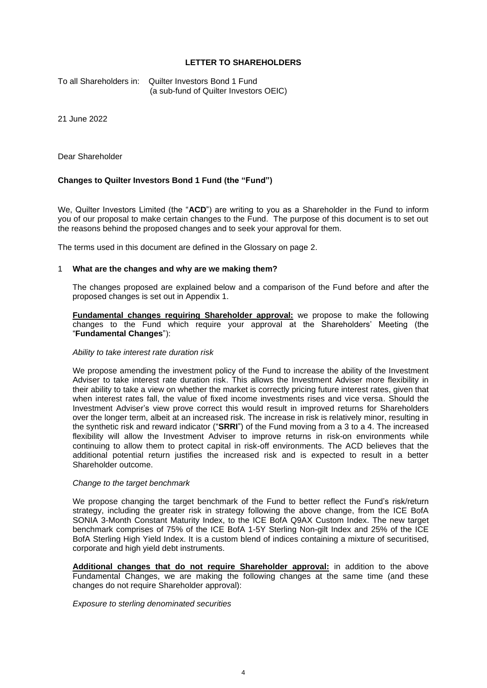## **LETTER TO SHAREHOLDERS**

To all Shareholders in: Quilter Investors Bond 1 Fund (a sub-fund of Quilter Investors OEIC)

21 June 2022

Dear Shareholder

#### **Changes to Quilter Investors Bond 1 Fund (the "Fund")**

We, Quilter Investors Limited (the "**ACD**") are writing to you as a Shareholder in the Fund to inform you of our proposal to make certain changes to the Fund. The purpose of this document is to set out the reasons behind the proposed changes and to seek your approval for them.

The terms used in this document are defined in the Glossary on page 2.

#### 1 **What are the changes and why are we making them?**

The changes proposed are explained below and a comparison of the Fund before and after the proposed changes is set out in Appendix 1.

**Fundamental changes requiring Shareholder approval:** we propose to make the following changes to the Fund which require your approval at the Shareholders' Meeting (the "**Fundamental Changes**"):

#### *Ability to take interest rate duration risk*

We propose amending the investment policy of the Fund to increase the ability of the Investment Adviser to take interest rate duration risk. This allows the Investment Adviser more flexibility in their ability to take a view on whether the market is correctly pricing future interest rates, given that when interest rates fall, the value of fixed income investments rises and vice versa. Should the Investment Adviser's view prove correct this would result in improved returns for Shareholders over the longer term, albeit at an increased risk. The increase in risk is relatively minor, resulting in the synthetic risk and reward indicator ("**SRRI**") of the Fund moving from a 3 to a 4. The increased flexibility will allow the Investment Adviser to improve returns in risk-on environments while continuing to allow them to protect capital in risk-off environments. The ACD believes that the additional potential return justifies the increased risk and is expected to result in a better Shareholder outcome.

#### *Change to the target benchmark*

We propose changing the target benchmark of the Fund to better reflect the Fund's risk/return strategy, including the greater risk in strategy following the above change, from the ICE BofA SONIA 3-Month Constant Maturity Index, to the ICE BofA Q9AX Custom Index. The new target benchmark comprises of 75% of the ICE BofA 1-5Y Sterling Non-gilt Index and 25% of the ICE BofA Sterling High Yield Index. It is a custom blend of indices containing a mixture of securitised, corporate and high yield debt instruments.

**Additional changes that do not require Shareholder approval:** in addition to the above Fundamental Changes, we are making the following changes at the same time (and these changes do not require Shareholder approval):

#### *Exposure to sterling denominated securities*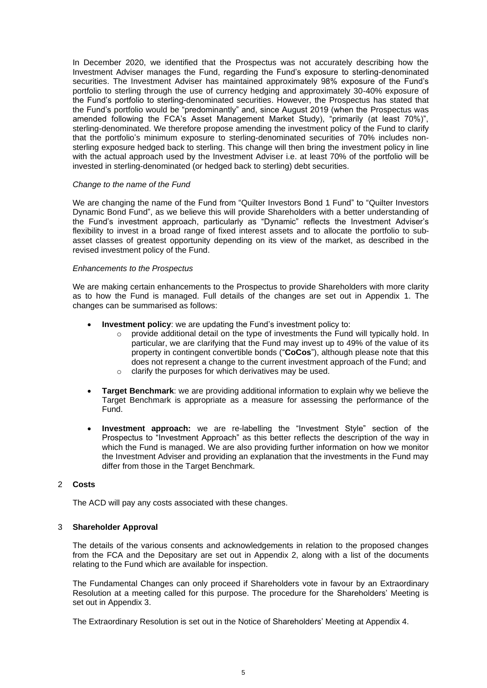In December 2020, we identified that the Prospectus was not accurately describing how the Investment Adviser manages the Fund, regarding the Fund's exposure to sterling-denominated securities. The Investment Adviser has maintained approximately 98% exposure of the Fund's portfolio to sterling through the use of currency hedging and approximately 30-40% exposure of the Fund's portfolio to sterling-denominated securities. However, the Prospectus has stated that the Fund's portfolio would be "predominantly" and, since August 2019 (when the Prospectus was amended following the FCA's Asset Management Market Study), "primarily (at least 70%)", sterling-denominated. We therefore propose amending the investment policy of the Fund to clarify that the portfolio's minimum exposure to sterling-denominated securities of 70% includes nonsterling exposure hedged back to sterling. This change will then bring the investment policy in line with the actual approach used by the Investment Adviser i.e. at least 70% of the portfolio will be invested in sterling-denominated (or hedged back to sterling) debt securities.

#### *Change to the name of the Fund*

We are changing the name of the Fund from "Quilter Investors Bond 1 Fund" to "Quilter Investors Dynamic Bond Fund", as we believe this will provide Shareholders with a better understanding of the Fund's investment approach, particularly as "Dynamic" reflects the Investment Adviser's flexibility to invest in a broad range of fixed interest assets and to allocate the portfolio to subasset classes of greatest opportunity depending on its view of the market, as described in the revised investment policy of the Fund.

#### *Enhancements to the Prospectus*

We are making certain enhancements to the Prospectus to provide Shareholders with more clarity as to how the Fund is managed. Full details of the changes are set out in Appendix 1. The changes can be summarised as follows:

- **Investment policy**: we are updating the Fund's investment policy to:
	- o provide additional detail on the type of investments the Fund will typically hold. In particular, we are clarifying that the Fund may invest up to 49% of the value of its property in contingent convertible bonds ("**CoCos**"), although please note that this does not represent a change to the current investment approach of the Fund; and
	- o clarify the purposes for which derivatives may be used.
- **Target Benchmark**: we are providing additional information to explain why we believe the Target Benchmark is appropriate as a measure for assessing the performance of the Fund.
- **Investment approach:** we are re-labelling the "Investment Style" section of the Prospectus to "Investment Approach" as this better reflects the description of the way in which the Fund is managed. We are also providing further information on how we monitor the Investment Adviser and providing an explanation that the investments in the Fund may differ from those in the Target Benchmark.

#### 2 **Costs**

The ACD will pay any costs associated with these changes.

#### 3 **Shareholder Approval**

The details of the various consents and acknowledgements in relation to the proposed changes from the FCA and the Depositary are set out in Appendix 2, along with a list of the documents relating to the Fund which are available for inspection.

The Fundamental Changes can only proceed if Shareholders vote in favour by an Extraordinary Resolution at a meeting called for this purpose. The procedure for the Shareholders' Meeting is set out in Appendix 3.

The Extraordinary Resolution is set out in the Notice of Shareholders' Meeting at Appendix 4.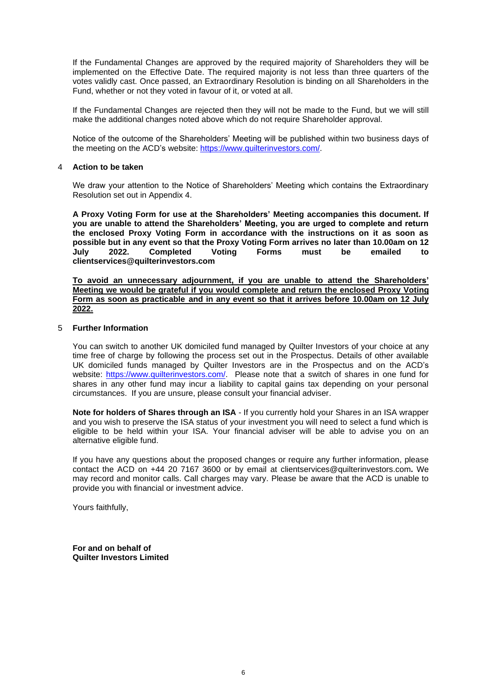If the Fundamental Changes are approved by the required majority of Shareholders they will be implemented on the Effective Date. The required majority is not less than three quarters of the votes validly cast. Once passed, an Extraordinary Resolution is binding on all Shareholders in the Fund, whether or not they voted in favour of it, or voted at all.

If the Fundamental Changes are rejected then they will not be made to the Fund, but we will still make the additional changes noted above which do not require Shareholder approval.

Notice of the outcome of the Shareholders' Meeting will be published within two business days of the meeting on the ACD's website: [https://www.quilterinvestors.com/.](https://www.quilterinvestors.com/)

#### 4 **Action to be taken**

We draw your attention to the Notice of Shareholders' Meeting which contains the Extraordinary Resolution set out in Appendix 4.

**A Proxy Voting Form for use at the Shareholders' Meeting accompanies this document. If you are unable to attend the Shareholders' Meeting, you are urged to complete and return the enclosed Proxy Voting Form in accordance with the instructions on it as soon as possible but in any event so that the Proxy Voting Form arrives no later than 10.00am on 12 July 2022. Completed Voting Forms must be emailed to clientservices@quilterinvestors.com**

**To avoid an unnecessary adjournment, if you are unable to attend the Shareholders' Meeting we would be grateful if you would complete and return the enclosed Proxy Voting Form as soon as practicable and in any event so that it arrives before 10.00am on 12 July 2022.**

#### 5 **Further Information**

You can switch to another UK domiciled fund managed by Quilter Investors of your choice at any time free of charge by following the process set out in the Prospectus. Details of other available UK domiciled funds managed by Quilter Investors are in the Prospectus and on the ACD's website: [https://www.quilterinvestors.com/.](https://www.quilterinvestors.com/) Please note that a switch of shares in one fund for shares in any other fund may incur a liability to capital gains tax depending on your personal circumstances. If you are unsure, please consult your financial adviser.

**Note for holders of Shares through an ISA** - If you currently hold your Shares in an ISA wrapper and you wish to preserve the ISA status of your investment you will need to select a fund which is eligible to be held within your ISA. Your financial adviser will be able to advise you on an alternative eligible fund.

If you have any questions about the proposed changes or require any further information, please contact the ACD on +44 20 7167 3600 or by email at [clientservices@quilterinvestors.com](mailto:clientservices@quilterinvestors.com)**.** We may record and monitor calls. Call charges may vary. Please be aware that the ACD is unable to provide you with financial or investment advice.

Yours faithfully,

**For and on behalf of Quilter Investors Limited**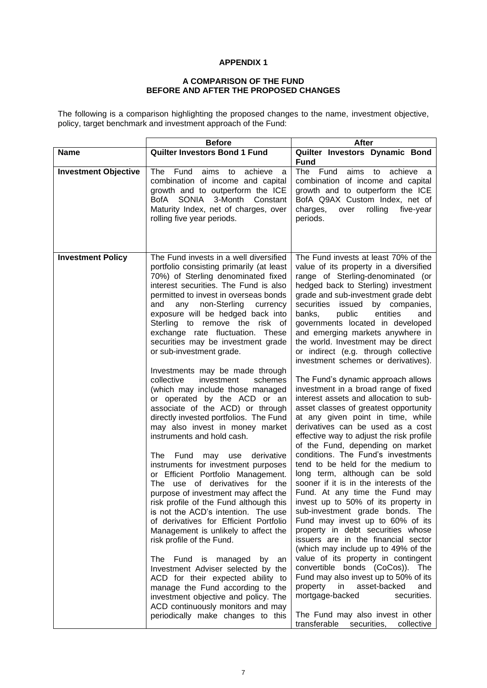## **A COMPARISON OF THE FUND BEFORE AND AFTER THE PROPOSED CHANGES**

The following is a comparison highlighting the proposed changes to the name, investment objective, policy, target benchmark and investment approach of the Fund:

|                             | <b>Before</b>                                                                                                                                                                                                                                                                                                                                                                                                                                                                                                                                                                                                                                                                                                                                                                                                                                                                                                                                                                                                                                                                                                                                                                                                                                                                                                                                                                               | After                                                                                                                                                                                                                                                                                                                                                                                                                                                                                                                                                                                                                                                                                                                                                                                                                                                                                                                                                                                                                                                                                                                                                                                                                                                                                                                                                                                                                                                                                                            |  |
|-----------------------------|---------------------------------------------------------------------------------------------------------------------------------------------------------------------------------------------------------------------------------------------------------------------------------------------------------------------------------------------------------------------------------------------------------------------------------------------------------------------------------------------------------------------------------------------------------------------------------------------------------------------------------------------------------------------------------------------------------------------------------------------------------------------------------------------------------------------------------------------------------------------------------------------------------------------------------------------------------------------------------------------------------------------------------------------------------------------------------------------------------------------------------------------------------------------------------------------------------------------------------------------------------------------------------------------------------------------------------------------------------------------------------------------|------------------------------------------------------------------------------------------------------------------------------------------------------------------------------------------------------------------------------------------------------------------------------------------------------------------------------------------------------------------------------------------------------------------------------------------------------------------------------------------------------------------------------------------------------------------------------------------------------------------------------------------------------------------------------------------------------------------------------------------------------------------------------------------------------------------------------------------------------------------------------------------------------------------------------------------------------------------------------------------------------------------------------------------------------------------------------------------------------------------------------------------------------------------------------------------------------------------------------------------------------------------------------------------------------------------------------------------------------------------------------------------------------------------------------------------------------------------------------------------------------------------|--|
| <b>Name</b>                 | <b>Quilter Investors Bond 1 Fund</b>                                                                                                                                                                                                                                                                                                                                                                                                                                                                                                                                                                                                                                                                                                                                                                                                                                                                                                                                                                                                                                                                                                                                                                                                                                                                                                                                                        | Quilter Investors Dynamic Bond<br><b>Fund</b>                                                                                                                                                                                                                                                                                                                                                                                                                                                                                                                                                                                                                                                                                                                                                                                                                                                                                                                                                                                                                                                                                                                                                                                                                                                                                                                                                                                                                                                                    |  |
| <b>Investment Objective</b> | The<br>Fund<br>achieve<br>aims<br>to<br>a<br>combination of income and capital<br>growth and to outperform the ICE<br>BofA SONIA 3-Month Constant<br>Maturity Index, net of charges, over<br>rolling five year periods.                                                                                                                                                                                                                                                                                                                                                                                                                                                                                                                                                                                                                                                                                                                                                                                                                                                                                                                                                                                                                                                                                                                                                                     | The<br>Fund<br>aims<br>achieve<br>to<br>- a<br>combination of income and capital<br>growth and to outperform the ICE<br>BofA Q9AX Custom Index, net of<br>charges,<br>rolling<br>five-year<br>over<br>periods.                                                                                                                                                                                                                                                                                                                                                                                                                                                                                                                                                                                                                                                                                                                                                                                                                                                                                                                                                                                                                                                                                                                                                                                                                                                                                                   |  |
| <b>Investment Policy</b>    | The Fund invests in a well diversified<br>portfolio consisting primarily (at least<br>70%) of Sterling denominated fixed<br>interest securities. The Fund is also<br>permitted to invest in overseas bonds<br>non-Sterling currency<br>and<br>any<br>exposure will be hedged back into<br>Sterling to remove the risk of<br>exchange rate fluctuation. These<br>securities may be investment grade<br>or sub-investment grade.<br>Investments may be made through<br>investment<br>collective<br>schemes<br>(which may include those managed<br>or operated by the ACD or an<br>associate of the ACD) or through<br>directly invested portfolios. The Fund<br>may also invest in money market<br>instruments and hold cash.<br>derivative<br>The Fund<br>may use<br>instruments for investment purposes<br>or Efficient Portfolio Management.<br>The use of derivatives for the<br>purpose of investment may affect the<br>risk profile of the Fund although this<br>is not the ACD's intention. The use<br>of derivatives for Efficient Portfolio<br>Management is unlikely to affect the<br>risk profile of the Fund.<br>The Fund is managed<br>by<br>an<br>Investment Adviser selected by the<br>ACD for their expected ability to<br>manage the Fund according to the<br>investment objective and policy. The<br>ACD continuously monitors and may<br>periodically make changes to this | The Fund invests at least 70% of the<br>value of its property in a diversified<br>range of Sterling-denominated (or<br>hedged back to Sterling) investment<br>grade and sub-investment grade debt<br>securities<br>issued<br>by companies,<br>banks,<br>public<br>entities<br>and<br>governments located in developed<br>and emerging markets anywhere in<br>the world. Investment may be direct<br>or indirect (e.g. through collective<br>investment schemes or derivatives).<br>The Fund's dynamic approach allows<br>investment in a broad range of fixed<br>interest assets and allocation to sub-<br>asset classes of greatest opportunity<br>at any given point in time, while<br>derivatives can be used as a cost<br>effective way to adjust the risk profile<br>of the Fund, depending on market<br>conditions. The Fund's investments<br>tend to be held for the medium to<br>long term, although can be sold<br>sooner if it is in the interests of the<br>Fund. At any time the Fund may<br>invest up to 50% of its property in<br>sub-investment grade bonds. The<br>Fund may invest up to 60% of its<br>property in debt securities whose<br>issuers are in the financial sector<br>(which may include up to 49% of the<br>value of its property in contingent<br>convertible bonds (CoCos)). The<br>Fund may also invest up to 50% of its<br>property in asset-backed<br>and<br>mortgage-backed<br>securities.<br>The Fund may also invest in other<br>transferable<br>securities,<br>collective |  |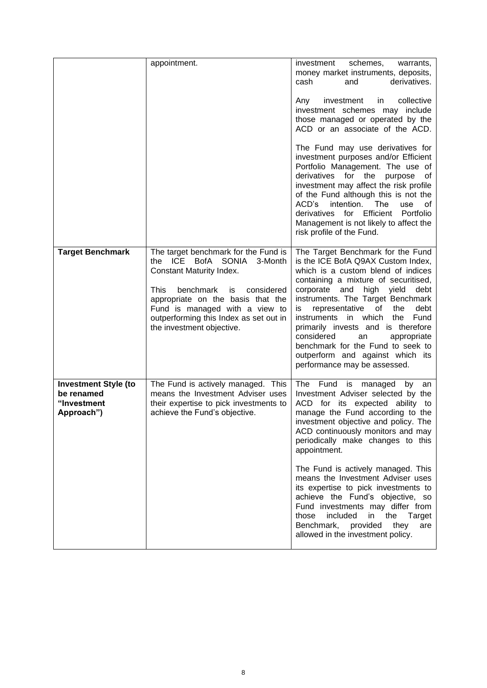|                                                                        | appointment.                                                                                                                                                                                                                                                                                                     | investment<br>schemes,<br>warrants,<br>money market instruments, deposits,<br>derivatives.<br>cash<br>and<br>investment<br>in<br>collective<br>Any<br>investment schemes may include<br>those managed or operated by the<br>ACD or an associate of the ACD.<br>The Fund may use derivatives for<br>investment purposes and/or Efficient<br>Portfolio Management. The use of<br>derivatives for the<br>purpose<br>οf<br>investment may affect the risk profile<br>of the Fund although this is not the<br>ACD's<br>intention.<br>The<br>use<br>οf<br>Efficient<br>Portfolio<br>derivatives<br>for<br>Management is not likely to affect the<br>risk profile of the Fund. |
|------------------------------------------------------------------------|------------------------------------------------------------------------------------------------------------------------------------------------------------------------------------------------------------------------------------------------------------------------------------------------------------------|-------------------------------------------------------------------------------------------------------------------------------------------------------------------------------------------------------------------------------------------------------------------------------------------------------------------------------------------------------------------------------------------------------------------------------------------------------------------------------------------------------------------------------------------------------------------------------------------------------------------------------------------------------------------------|
| <b>Target Benchmark</b>                                                | The target benchmark for the Fund is<br><b>ICE</b><br>BofA<br><b>SONIA</b><br>3-Month<br>the<br>Constant Maturity Index.<br>This.<br>benchmark<br>is<br>considered<br>appropriate on the basis that the<br>Fund is managed with a view to<br>outperforming this Index as set out in<br>the investment objective. | The Target Benchmark for the Fund<br>is the ICE BofA Q9AX Custom Index,<br>which is a custom blend of indices<br>containing a mixture of securitised,<br>high<br>yield<br>corporate and<br>debt<br>instruments. The Target Benchmark<br>representative<br>of<br>the<br>debt<br>İS.<br>instruments in which<br>Fund<br>the<br>primarily invests and is therefore<br>considered<br>an<br>appropriate<br>benchmark for the Fund to seek to<br>outperform and against which its<br>performance may be assessed.                                                                                                                                                             |
| <b>Investment Style (to</b><br>be renamed<br>"Investment<br>Approach") | The Fund is actively managed. This<br>means the Investment Adviser uses<br>their expertise to pick investments to<br>achieve the Fund's objective.                                                                                                                                                               | The Fund is managed<br>by<br>an<br>Investment Adviser selected by the<br>ACD for its expected ability to<br>manage the Fund according to the<br>investment objective and policy. The<br>ACD continuously monitors and may<br>periodically make changes to this<br>appointment.                                                                                                                                                                                                                                                                                                                                                                                          |
|                                                                        |                                                                                                                                                                                                                                                                                                                  | The Fund is actively managed. This<br>means the Investment Adviser uses<br>its expertise to pick investments to<br>achieve the Fund's objective, so<br>Fund investments may differ from<br>those<br>included<br>in<br>the<br>Target<br>Benchmark, provided<br>they<br>are<br>allowed in the investment policy.                                                                                                                                                                                                                                                                                                                                                          |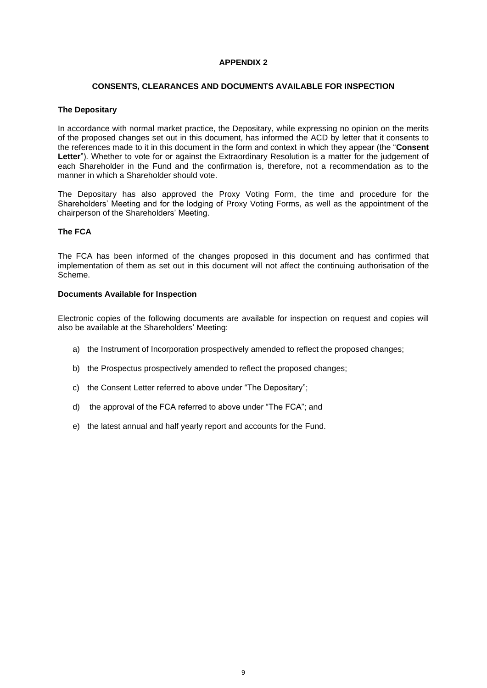#### **CONSENTS, CLEARANCES AND DOCUMENTS AVAILABLE FOR INSPECTION**

## **The Depositary**

In accordance with normal market practice, the Depositary, while expressing no opinion on the merits of the proposed changes set out in this document, has informed the ACD by letter that it consents to the references made to it in this document in the form and context in which they appear (the "**Consent**  Letter"). Whether to vote for or against the Extraordinary Resolution is a matter for the judgement of each Shareholder in the Fund and the confirmation is, therefore, not a recommendation as to the manner in which a Shareholder should vote.

The Depositary has also approved the Proxy Voting Form, the time and procedure for the Shareholders' Meeting and for the lodging of Proxy Voting Forms, as well as the appointment of the chairperson of the Shareholders' Meeting.

## **The FCA**

The FCA has been informed of the changes proposed in this document and has confirmed that implementation of them as set out in this document will not affect the continuing authorisation of the Scheme.

#### **Documents Available for Inspection**

Electronic copies of the following documents are available for inspection on request and copies will also be available at the Shareholders' Meeting:

- a) the Instrument of Incorporation prospectively amended to reflect the proposed changes;
- b) the Prospectus prospectively amended to reflect the proposed changes;
- c) the Consent Letter referred to above under "The Depositary";
- d) the approval of the FCA referred to above under "The FCA"; and
- e) the latest annual and half yearly report and accounts for the Fund.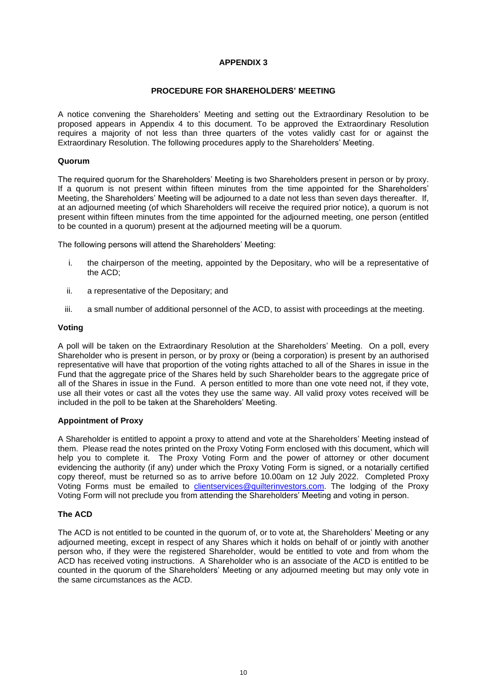### **PROCEDURE FOR SHAREHOLDERS' MEETING**

A notice convening the Shareholders' Meeting and setting out the Extraordinary Resolution to be proposed appears in Appendix 4 to this document. To be approved the Extraordinary Resolution requires a majority of not less than three quarters of the votes validly cast for or against the Extraordinary Resolution. The following procedures apply to the Shareholders' Meeting.

### **Quorum**

The required quorum for the Shareholders' Meeting is two Shareholders present in person or by proxy. If a quorum is not present within fifteen minutes from the time appointed for the Shareholders' Meeting, the Shareholders' Meeting will be adjourned to a date not less than seven days thereafter. If, at an adjourned meeting (of which Shareholders will receive the required prior notice), a quorum is not present within fifteen minutes from the time appointed for the adjourned meeting, one person (entitled to be counted in a quorum) present at the adjourned meeting will be a quorum.

The following persons will attend the Shareholders' Meeting:

- i. the chairperson of the meeting, appointed by the Depositary, who will be a representative of the ACD;
- ii. a representative of the Depositary; and
- iii. a small number of additional personnel of the ACD, to assist with proceedings at the meeting.

#### **Voting**

A poll will be taken on the Extraordinary Resolution at the Shareholders' Meeting. On a poll, every Shareholder who is present in person, or by proxy or (being a corporation) is present by an authorised representative will have that proportion of the voting rights attached to all of the Shares in issue in the Fund that the aggregate price of the Shares held by such Shareholder bears to the aggregate price of all of the Shares in issue in the Fund. A person entitled to more than one vote need not, if they vote, use all their votes or cast all the votes they use the same way. All valid proxy votes received will be included in the poll to be taken at the Shareholders' Meeting.

## **Appointment of Proxy**

A Shareholder is entitled to appoint a proxy to attend and vote at the Shareholders' Meeting instead of them. Please read the notes printed on the Proxy Voting Form enclosed with this document, which will help you to complete it. The Proxy Voting Form and the power of attorney or other document evidencing the authority (if any) under which the Proxy Voting Form is signed, or a notarially certified copy thereof, must be returned so as to arrive before 10.00am on 12 July 2022. Completed Proxy Voting Forms must be emailed to [clientservices@quilterinvestors.com.](mailto:clientservices@quilterinvestors.com) The lodging of the Proxy Voting Form will not preclude you from attending the Shareholders' Meeting and voting in person.

### **The ACD**

The ACD is not entitled to be counted in the quorum of, or to vote at, the Shareholders' Meeting or any adjourned meeting, except in respect of any Shares which it holds on behalf of or jointly with another person who, if they were the registered Shareholder, would be entitled to vote and from whom the ACD has received voting instructions. A Shareholder who is an associate of the ACD is entitled to be counted in the quorum of the Shareholders' Meeting or any adjourned meeting but may only vote in the same circumstances as the ACD.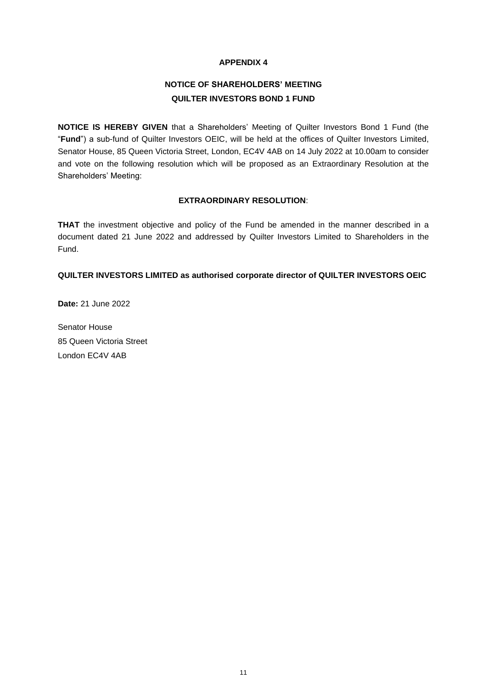# **NOTICE OF SHAREHOLDERS' MEETING QUILTER INVESTORS BOND 1 FUND**

**NOTICE IS HEREBY GIVEN** that a Shareholders' Meeting of Quilter Investors Bond 1 Fund (the "**Fund**") a sub-fund of Quilter Investors OEIC, will be held at the offices of Quilter Investors Limited, Senator House, 85 Queen Victoria Street, London, EC4V 4AB on 14 July 2022 at 10.00am to consider and vote on the following resolution which will be proposed as an Extraordinary Resolution at the Shareholders' Meeting:

## **EXTRAORDINARY RESOLUTION**:

**THAT** the investment objective and policy of the Fund be amended in the manner described in a document dated 21 June 2022 and addressed by Quilter Investors Limited to Shareholders in the Fund.

## **QUILTER INVESTORS LIMITED as authorised corporate director of QUILTER INVESTORS OEIC**

**Date:** 21 June 2022

Senator House 85 Queen Victoria Street London EC4V 4AB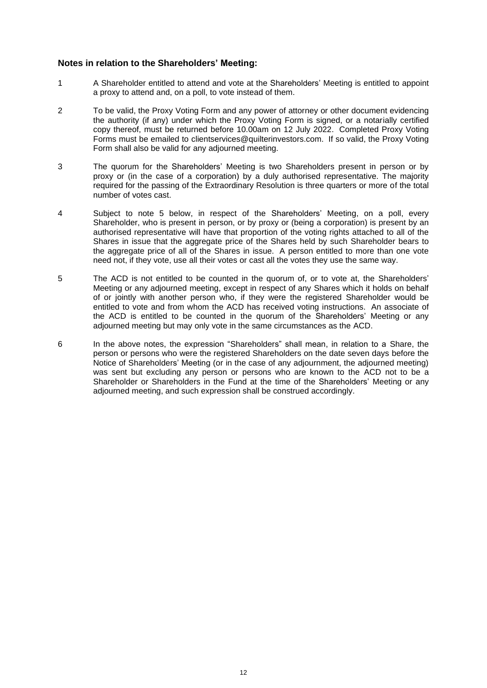# **Notes in relation to the Shareholders' Meeting:**

- 1 A Shareholder entitled to attend and vote at the Shareholders' Meeting is entitled to appoint a proxy to attend and, on a poll, to vote instead of them.
- 2 To be valid, the Proxy Voting Form and any power of attorney or other document evidencing the authority (if any) under which the Proxy Voting Form is signed, or a notarially certified copy thereof, must be returned before 10.00am on 12 July 2022. Completed Proxy Voting Forms must be emailed to clientservices@quilterinvestors.com. If so valid, the Proxy Voting Form shall also be valid for any adjourned meeting.
- 3 The quorum for the Shareholders' Meeting is two Shareholders present in person or by proxy or (in the case of a corporation) by a duly authorised representative. The majority required for the passing of the Extraordinary Resolution is three quarters or more of the total number of votes cast.
- 4 Subject to note 5 below, in respect of the Shareholders' Meeting, on a poll, every Shareholder, who is present in person, or by proxy or (being a corporation) is present by an authorised representative will have that proportion of the voting rights attached to all of the Shares in issue that the aggregate price of the Shares held by such Shareholder bears to the aggregate price of all of the Shares in issue. A person entitled to more than one vote need not, if they vote, use all their votes or cast all the votes they use the same way.
- 5 The ACD is not entitled to be counted in the quorum of, or to vote at, the Shareholders' Meeting or any adjourned meeting, except in respect of any Shares which it holds on behalf of or jointly with another person who, if they were the registered Shareholder would be entitled to vote and from whom the ACD has received voting instructions. An associate of the ACD is entitled to be counted in the quorum of the Shareholders' Meeting or any adjourned meeting but may only vote in the same circumstances as the ACD.
- 6 In the above notes, the expression "Shareholders" shall mean, in relation to a Share, the person or persons who were the registered Shareholders on the date seven days before the Notice of Shareholders' Meeting (or in the case of any adjournment, the adjourned meeting) was sent but excluding any person or persons who are known to the ACD not to be a Shareholder or Shareholders in the Fund at the time of the Shareholders' Meeting or any adjourned meeting, and such expression shall be construed accordingly.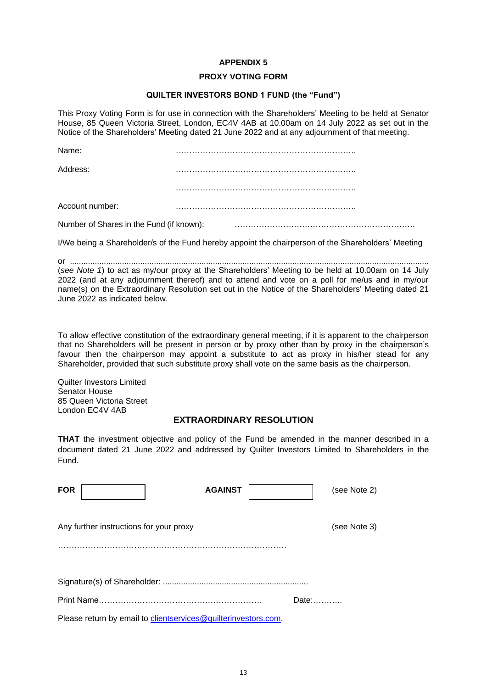### **PROXY VOTING FORM**

### **QUILTER INVESTORS BOND 1 FUND (the "Fund")**

This Proxy Voting Form is for use in connection with the Shareholders' Meeting to be held at Senator House, 85 Queen Victoria Street, London, EC4V 4AB at 10.00am on 14 July 2022 as set out in the Notice of the Shareholders' Meeting dated 21 June 2022 and at any adjournment of that meeting.

| Name:                                    |  |  |
|------------------------------------------|--|--|
| Address:                                 |  |  |
|                                          |  |  |
| Account number:                          |  |  |
| Number of Shares in the Fund (if known): |  |  |

I/We being a Shareholder/s of the Fund hereby appoint the chairperson of the Shareholders' Meeting

or .............................................................................................................................................................. (*see Note 1*) to act as my/our proxy at the Shareholders' Meeting to be held at 10.00am on 14 July 2022 (and at any adjournment thereof) and to attend and vote on a poll for me/us and in my/our name(s) on the Extraordinary Resolution set out in the Notice of the Shareholders' Meeting dated 21 June 2022 as indicated below.

To allow effective constitution of the extraordinary general meeting, if it is apparent to the chairperson that no Shareholders will be present in person or by proxy other than by proxy in the chairperson's favour then the chairperson may appoint a substitute to act as proxy in his/her stead for any Shareholder, provided that such substitute proxy shall vote on the same basis as the chairperson.

Quilter Investors Limited Senator House 85 Queen Victoria Street London EC4V 4AB

# **EXTRAORDINARY RESOLUTION**

**THAT** the investment objective and policy of the Fund be amended in the manner described in a document dated 21 June 2022 and addressed by Quilter Investors Limited to Shareholders in the Fund.

| <b>FOR</b>                              | <b>AGAINST</b>                                                 | (see Note 2) |
|-----------------------------------------|----------------------------------------------------------------|--------------|
| Any further instructions for your proxy |                                                                | (see Note 3) |
|                                         |                                                                |              |
|                                         |                                                                |              |
|                                         |                                                                | Date:        |
|                                         | Please return by email to clientservices@quilterinvestors.com. |              |